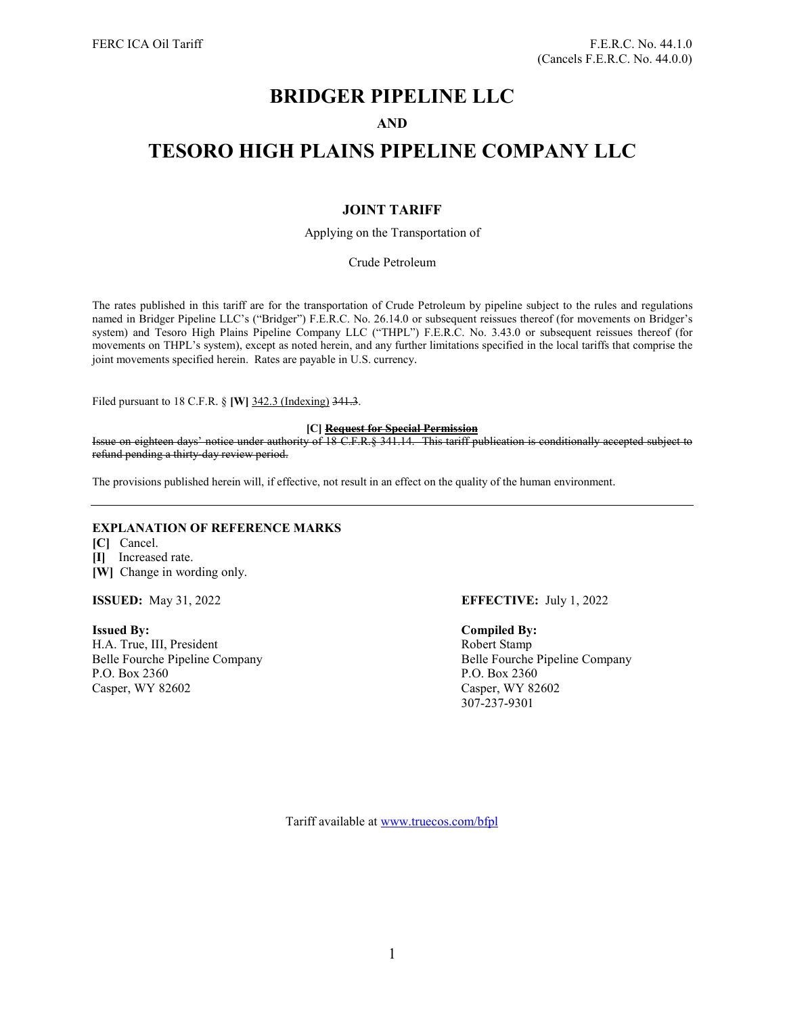## **BRIDGER PIPELINE LLC**

## **AND**

# **TESORO HIGH PLAINS PIPELINE COMPANY LLC**

## **JOINT TARIFF**

Applying on the Transportation of

Crude Petroleum

The rates published in this tariff are for the transportation of Crude Petroleum by pipeline subject to the rules and regulations named in Bridger Pipeline LLC's ("Bridger") F.E.R.C. No. 26.14.0 or subsequent reissues thereof (for movements on Bridger's system) and Tesoro High Plains Pipeline Company LLC ("THPL") F.E.R.C. No. 3.43.0 or subsequent reissues thereof (for movements on THPL's system), except as noted herein, and any further limitations specified in the local tariffs that comprise the joint movements specified herein. Rates are payable in U.S. currency.

Filed pursuant to 18 C.F.R. § **[W]** 342.3 (Indexing) 341.3.

### **[C] Request for Special Permission**

Issue on eighteen days' notice under authority of 18 C.F.R.§ 341.14. This tariff publication is conditionally accepted subject to refund pending a thirty-day review period.

The provisions published herein will, if effective, not result in an effect on the quality of the human environment.

## **EXPLANATION OF REFERENCE MARKS**

**[C]** Cancel. **[I]** Increased rate.

**[W]** Change in wording only.

**Issued By: Compiled By:** H.A. True, III, President Robert Stamp Belle Fourche Pipeline Company Belle Fourche Pipeline Company P.O. Box 2360<br>
Casper, WY 82602<br>
Casper, WY 82602

## **ISSUED:** May 31, 2022 **EFFECTIVE:** July 1, 2022

Casper, WY 82602 307-237-9301

Tariff available at [www.truecos.com/bfpl](http://www.truecos.com/bfpl)